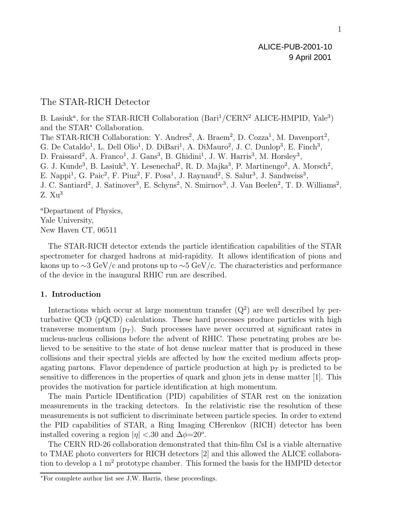# The STAR-RICH Detector

B. Lasiuk<sup>a</sup>, for the STAR-RICH Collaboration (Bari<sup>1</sup>/CERN<sup>2</sup> ALICE-HMPID, Yale<sup>3</sup>) and the STAR<sup>∗</sup> Collaboration. The STAR-RICH Collaboration: Y. Andres<sup>2</sup>, A. Braem<sup>2</sup>, D. Cozza<sup>1</sup>, M. Davenport<sup>2</sup>, G. De Cataldo<sup>1</sup>, L. Dell Olio<sup>1</sup>, D. DiBari<sup>1</sup>, A. DiMauro<sup>2</sup>, J. C. Dunlop<sup>3</sup>, E. Finch<sup>3</sup>, D. Fraissard<sup>2</sup>, A. Franco<sup>1</sup>, J. Gans<sup>3</sup>, B. Ghidini<sup>1</sup>, J. W. Harris<sup>3</sup>, M. Horsley<sup>3</sup>, G. J. Kunde<sup>3</sup>, B. Lasiuk<sup>3</sup>, Y. Lesenechal<sup>2</sup>, R. D. Majka<sup>3</sup>, P. Martinengo<sup>2</sup>, A. Morsch<sup>2</sup>, E. Nappi<sup>1</sup>, G. Paic<sup>2</sup>, F. Piuz<sup>2</sup>, F. Posa<sup>1</sup>, J. Raynaud<sup>2</sup>, S. Salur<sup>3</sup>, J. Sandweiss<sup>3</sup>, J. C. Santiard<sup>2</sup>, J. Satinover<sup>3</sup>, E. Schyns<sup>2</sup>, N. Smirnov<sup>3</sup>, J. Van Beelen<sup>2</sup>, T. D. Williams<sup>2</sup>,  $Z. Xu<sup>3</sup>$ 

<sup>a</sup>Department of Physics, Yale University, New Haven CT, 06511

The STAR-RICH detector extends the particle identification capabilities of the STAR spectrometer for charged hadrons at mid-rapidity. It allows identification of pions and kaons up to ∼3 GeV/c and protons up to ∼5 GeV/c. The characteristics and performance of the device in the inaugural RHIC run are described.

# **1. Introduction**

Interactions which occur at large momentum transfer  $(Q^2)$  are well described by perturbative QCD (pQCD) calculations. These hard processes produce particles with high transverse momentum  $(p_T)$ . Such processes have never occurred at significant rates in nucleus-nucleus collisions before the advent of RHIC. These penetrating probes are believed to be sensitive to the state of hot dense nuclear matter that is produced in these collisions and their spectral yields are affected by how the excited medium affects propagating partons. Flavor dependence of particle production at high  $p<sub>T</sub>$  is predicted to be sensitive to differences in the properties of quark and gluon jets in dense matter [1]. This provides the motivation for particle identification at high momentum.

The main Particle IDentification (PID) capabilities of STAR rest on the ionization measurements in the tracking detectors. In the relativistic rise the resolution of these measurements is not sufficient to discriminate between particle species. In order to extend the PID capabilities of STAR, a Ring Imaging CHerenkov (RICH) detector has been installed covering a region  $|\eta| < 30$  and  $\Delta \phi = 20^{\circ}$ .

The CERN RD-26 collaboration demonstrated that thin-film CsI is a viable alternative to TMAE photo converters for RICH detectors  $[2]$  and this allowed the ALICE collaboration to develop a  $1 \text{ m}^2$  prototype chamber. This formed the basis for the HMPID detector

<sup>∗</sup>For complete author list see J.W. Harris, these proceedings.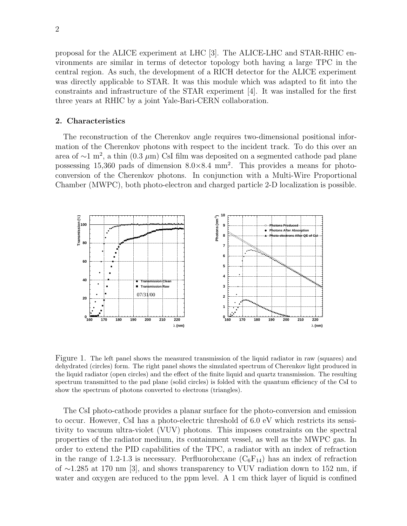proposal for the ALICE experiment at LHC  $[3]$ . The ALICE-LHC and STAR-RHIC environments are similar in terms of detector topology both having a large TPC in the central region. As such, the development of a RICH detector for the ALICE experiment was directly applicable to STAR. It was this module which was adapted to fit into the constraints and infrastructure of the STAR experiment [4]. It was installed for the first three years at RHIC by a joint Yale-Bari-CERN collaboration.

#### **2. Characteristics**

The reconstruction of the Cherenkov angle requires two-dimensional positional information of the Cherenkov photons with respect to the incident track. To do this over an area of  $\sim$ 1 m<sup>2</sup>, a thin (0.3 µm) CsI film was deposited on a segmented cathode pad plane possessing 15,360 pads of dimension  $8.0 \times 8.4$  mm<sup>2</sup>. This provides a means for photoconversion of the Cherenkov photons. In conjunction with a Multi-Wire Proportional Chamber (MWPC), both photo-electron and charged particle 2-D localization is possible.



Figure 1. The left panel shows the measured transmission of the liquid radiator in raw (squares) and dehydrated (circles) form. The right panel shows the simulated spectrum of Cherenkov light produced in the liquid radiator (open circles) and the effect of the finite liquid and quartz transmission. The resulting spectrum transmitted to the pad plane (solid circles) is folded with the quantum efficiency of the CsI to show the spectrum of photons converted to electrons (triangles).

The CsI photo-cathode provides a planar surface for the photo-conversion and emission to occur. However, CsI has a photo-electric threshold of 6.0 eV which restricts its sensitivity to vacuum ultra-violet (VUV) photons. This imposes constraints on the spectral properties of the radiator medium, its containment vessel, as well as the MWPC gas. In order to extend the PID capabilities of the TPC, a radiator with an index of refraction in the range of 1.2-1.3 is necessary. Perfluorohexane  $(C_6F_{14})$  has an index of refraction of ∼1.285 at 170 nm [3], and shows transparency to VUV radiation down to 152 nm, if water and oxygen are reduced to the ppm level. A 1 cm thick layer of liquid is confined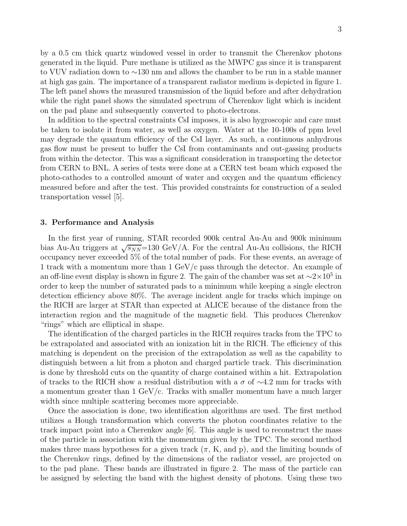by a 0.5 cm thick quartz windowed vessel in order to transmit the Cherenkov photons generated in the liquid. Pure methane is utilized as the MWPC gas since it is transparent to VUV radiation down to ∼130 nm and allows the chamber to be run in a stable manner at high gas gain. The importance of a transparent radiator medium is depicted in figure 1. The left panel shows the measured transmission of the liquid before and after dehydration while the right panel shows the simulated spectrum of Cherenkov light which is incident on the pad plane and subsequently converted to photo-electrons.

In addition to the spectral constraints CsI imposes, it is also hygroscopic and care must be taken to isolate it from water, as well as oxygen. Water at the 10-100s of ppm level may degrade the quantum efficiency of the CsI layer. As such, a continuous anhydrous gas flow must be present to buffer the CsI from contaminants and out-gassing products from within the detector. This was a significant consideration in transporting the detector from CERN to BNL. A series of tests were done at a CERN test beam which exposed the photo-cathodes to a controlled amount of water and oxygen and the quantum efficiency measured before and after the test. This provided constraints for construction of a sealed transportation vessel [5].

## **3. Performance and Analysis**

In the first year of running, STAR recorded 900k central Au-Au and 900k minimum bias Au-Au triggers at  $\sqrt{s_{NN}}$ =130 GeV/A. For the central Au-Au collisions, the RICH occupancy never exceeded 5% of the total number of pads. For these events, an average of 1 track with a momentum more than 1 GeV/c pass through the detector. An example of an off-line event display is shown in figure 2. The gain of the chamber was set at  $\sim$ 2×10<sup>5</sup> in order to keep the number of saturated pads to a minimum while keeping a single electron detection efficiency above 80%. The average incident angle for tracks which impinge on the RICH are larger at STAR than expected at ALICE because of the distance from the interaction region and the magnitude of the magnetic field. This produces Cherenkov "rings" which are elliptical in shape.

The identification of the charged particles in the RICH requires tracks from the TPC to be extrapolated and associated with an ionization hit in the RICH. The efficiency of this matching is dependent on the precision of the extrapolation as well as the capability to distinguish between a hit from a photon and charged particle track. This discrimination is done by threshold cuts on the quantity of charge contained within a hit. Extrapolation of tracks to the RICH show a residual distribution with a  $\sigma$  of  $\sim$ 4.2 mm for tracks with a momentum greater than  $1 \text{ GeV}/c$ . Tracks with smaller momentum have a much larger width since multiple scattering becomes more appreciable.

Once the association is done, two identification algorithms are used. The first method utilizes a Hough transformation which converts the photon coordinates relative to the track impact point into a Cherenkov angle [6]. This angle is used to reconstruct the mass of the particle in association with the momentum given by the TPC. The second method makes three mass hypotheses for a given track  $(\pi, K, \text{ and } p)$ , and the limiting bounds of the Cherenkov rings, defined by the dimensions of the radiator vessel, are projected on to the pad plane. These bands are illustrated in figure 2. The mass of the particle can be assigned by selecting the band with the highest density of photons. Using these two